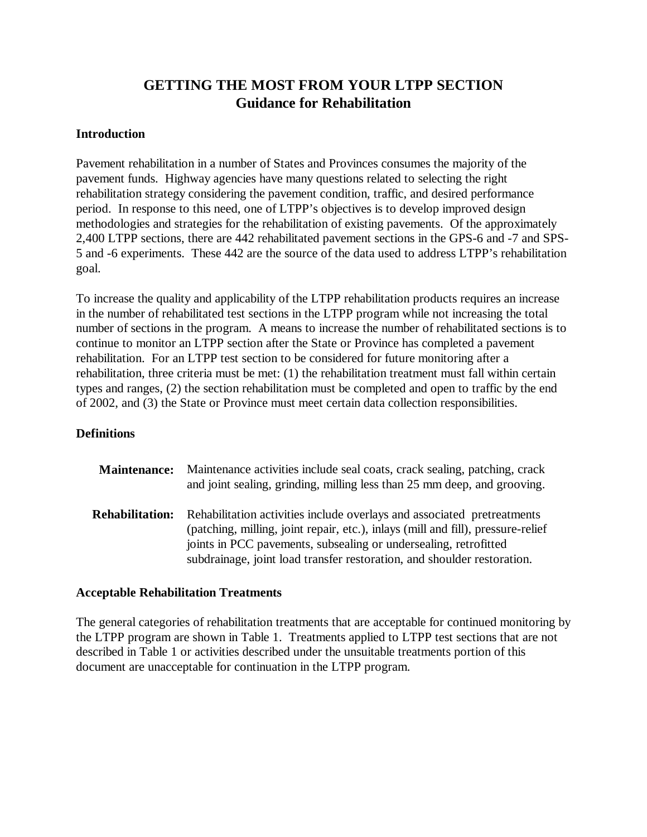# **GETTING THE MOST FROM YOUR LTPP SECTION Guidance for Rehabilitation**

### **Introduction**

Pavement rehabilitation in a number of States and Provinces consumes the majority of the pavement funds. Highway agencies have many questions related to selecting the right rehabilitation strategy considering the pavement condition, traffic, and desired performance period. In response to this need, one of LTPP's objectives is to develop improved design methodologies and strategies for the rehabilitation of existing pavements. Of the approximately 2,400 LTPP sections, there are 442 rehabilitated pavement sections in the GPS-6 and -7 and SPS-5 and -6 experiments. These 442 are the source of the data used to address LTPP's rehabilitation goal.

To increase the quality and applicability of the LTPP rehabilitation products requires an increase in the number of rehabilitated test sections in the LTPP program while not increasing the total number of sections in the program. A means to increase the number of rehabilitated sections is to continue to monitor an LTPP section after the State or Province has completed a pavement rehabilitation. For an LTPP test section to be considered for future monitoring after a rehabilitation, three criteria must be met: (1) the rehabilitation treatment must fall within certain types and ranges, (2) the section rehabilitation must be completed and open to traffic by the end of 2002, and (3) the State or Province must meet certain data collection responsibilities.

### **Definitions**

| <b>Maintenance:</b>    | Maintenance activities include seal coats, crack sealing, patching, crack<br>and joint sealing, grinding, milling less than 25 mm deep, and grooving.                                                                                                                                                      |
|------------------------|------------------------------------------------------------------------------------------------------------------------------------------------------------------------------------------------------------------------------------------------------------------------------------------------------------|
| <b>Rehabilitation:</b> | Rehabilitation activities include overlays and associated pretreatments<br>(patching, milling, joint repair, etc.), inlays (mill and fill), pressure-relief<br>joints in PCC pavements, subsealing or undersealing, retrofitted<br>subdrainage, joint load transfer restoration, and shoulder restoration. |

### **Acceptable Rehabilitation Treatments**

The general categories of rehabilitation treatments that are acceptable for continued monitoring by the LTPP program are shown in Table 1. Treatments applied to LTPP test sections that are not described in Table 1 or activities described under the unsuitable treatments portion of this document are unacceptable for continuation in the LTPP program.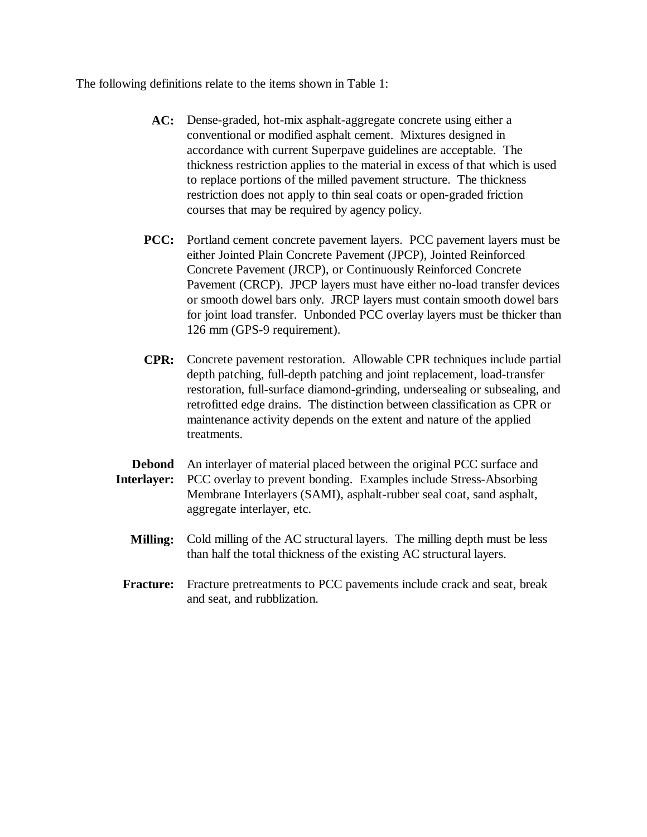The following definitions relate to the items shown in Table 1:

- AC: Dense-graded, hot-mix asphalt-aggregate concrete using either a conventional or modified asphalt cement. Mixtures designed in accordance with current Superpave guidelines are acceptable. The thickness restriction applies to the material in excess of that which is used to replace portions of the milled pavement structure. The thickness restriction does not apply to thin seal coats or open-graded friction courses that may be required by agency policy.
- PCC: Portland cement concrete pavement layers. PCC pavement layers must be either Jointed Plain Concrete Pavement (JPCP), Jointed Reinforced Concrete Pavement (JRCP), or Continuously Reinforced Concrete Pavement (CRCP). JPCP layers must have either no-load transfer devices or smooth dowel bars only. JRCP layers must contain smooth dowel bars for joint load transfer. Unbonded PCC overlay layers must be thicker than 126 mm (GPS-9 requirement).
- **CPR:** Concrete pavement restoration. Allowable CPR techniques include partial depth patching, full-depth patching and joint replacement, load-transfer restoration, full-surface diamond-grinding, undersealing or subsealing, and retrofitted edge drains. The distinction between classification as CPR or maintenance activity depends on the extent and nature of the applied treatments.
- **Debond** An interlayer of material placed between the original PCC surface and **Interlayer:** PCC overlay to prevent bonding. Examples include Stress-Absorbing Membrane Interlayers (SAMI), asphalt-rubber seal coat, sand asphalt, aggregate interlayer, etc.
	- **Milling:** Cold milling of the AC structural layers. The milling depth must be less than half the total thickness of the existing AC structural layers.
	- Fracture: Fracture pretreatments to PCC pavements include crack and seat, break and seat, and rubblization.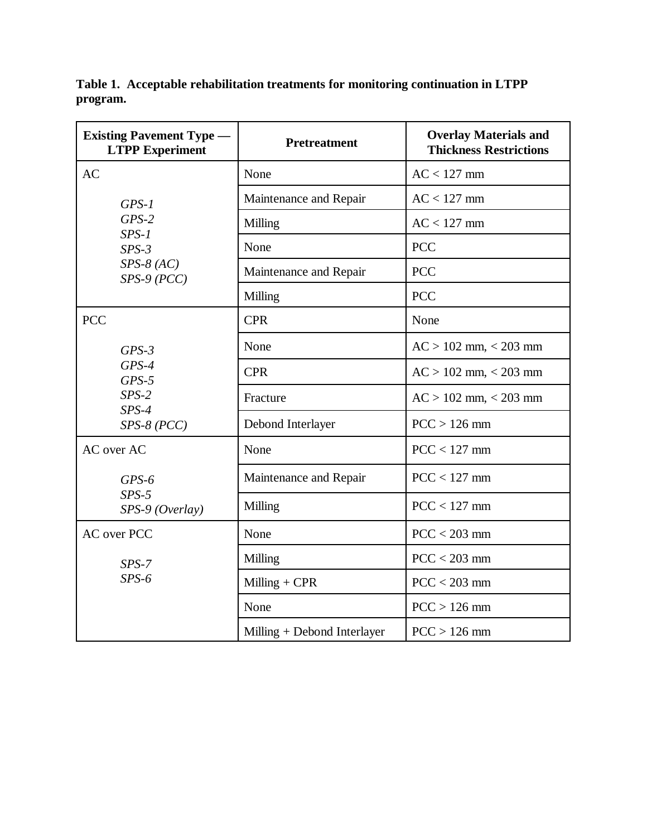| <b>Existing Pavement Type -</b><br><b>LTPP Experiment</b> | <b>Pretreatment</b>         | <b>Overlay Materials and</b><br><b>Thickness Restrictions</b> |
|-----------------------------------------------------------|-----------------------------|---------------------------------------------------------------|
| <b>AC</b>                                                 | None                        | $AC < 127$ mm                                                 |
| $GPS-1$                                                   | Maintenance and Repair      | $AC < 127$ mm                                                 |
| $GPS-2$<br>$SPS-1$                                        | Milling                     | $AC < 127$ mm                                                 |
| $SPS-3$                                                   | None                        | <b>PCC</b>                                                    |
| $SPS-8 (AC)$<br>$SPS-9 (PCC)$                             | Maintenance and Repair      | <b>PCC</b>                                                    |
|                                                           | Milling                     | <b>PCC</b>                                                    |
| <b>PCC</b>                                                | <b>CPR</b>                  | None                                                          |
| $GPS-3$                                                   | None                        | $AC > 102$ mm, $< 203$ mm                                     |
| $GPS-4$<br>$GPS-5$                                        | <b>CPR</b>                  | $AC > 102$ mm, $< 203$ mm                                     |
| $SPS-2$<br>$SPS-4$                                        | Fracture                    | $AC > 102$ mm, $< 203$ mm                                     |
| $SPS-8 (PCC)$                                             | Debond Interlayer           | $PCC > 126$ mm                                                |
| AC over AC                                                | None                        | $PCC < 127$ mm                                                |
| $GPS-6$                                                   | Maintenance and Repair      | $PCC < 127$ mm                                                |
| $SPS-5$<br>$SPS-9$ (Overlay)                              | Milling                     | $PCC < 127$ mm                                                |
| <b>AC</b> over PCC                                        | None                        | $PCC < 203$ mm                                                |
| $SPS-7$                                                   | Milling                     | $PCC < 203$ mm                                                |
| $SPS-6$                                                   | Milling $+$ CPR             | $PCC < 203$ mm                                                |
|                                                           | None                        | $PCC > 126$ mm                                                |
|                                                           | Milling + Debond Interlayer | $PCC > 126$ mm                                                |

**Table 1. Acceptable rehabilitation treatments for monitoring continuation in LTPP program.**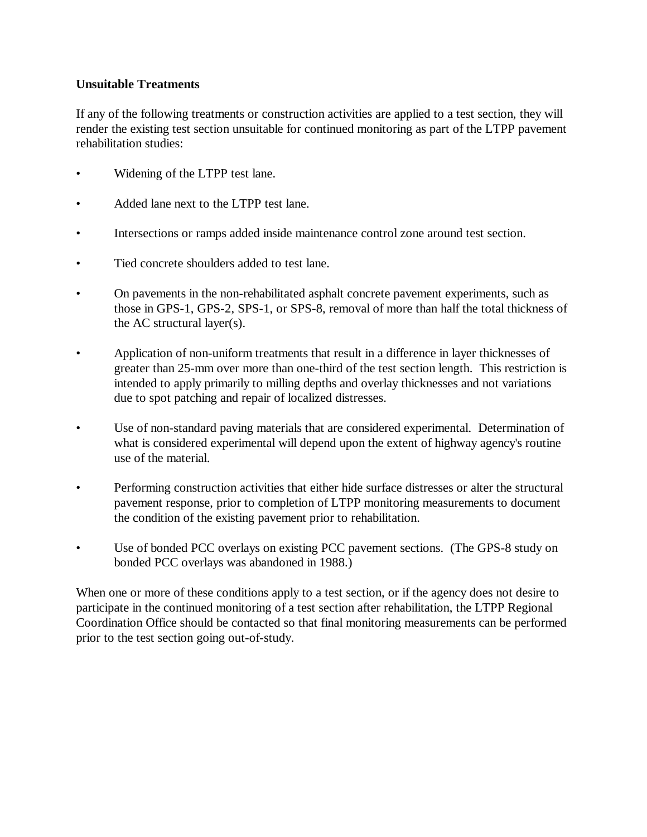## **Unsuitable Treatments**

If any of the following treatments or construction activities are applied to a test section, they will render the existing test section unsuitable for continued monitoring as part of the LTPP pavement rehabilitation studies:

- Widening of the LTPP test lane.
- Added lane next to the LTPP test lane.
- Intersections or ramps added inside maintenance control zone around test section.
- Tied concrete shoulders added to test lane.
- On pavements in the non-rehabilitated asphalt concrete pavement experiments, such as those in GPS-1, GPS-2, SPS-1, or SPS-8, removal of more than half the total thickness of the AC structural layer(s).
- Application of non-uniform treatments that result in a difference in layer thicknesses of greater than 25-mm over more than one-third of the test section length. This restriction is intended to apply primarily to milling depths and overlay thicknesses and not variations due to spot patching and repair of localized distresses.
- Use of non-standard paving materials that are considered experimental. Determination of what is considered experimental will depend upon the extent of highway agency's routine use of the material.
- Performing construction activities that either hide surface distresses or alter the structural pavement response, prior to completion of LTPP monitoring measurements to document the condition of the existing pavement prior to rehabilitation.
- Use of bonded PCC overlays on existing PCC pavement sections. (The GPS-8 study on bonded PCC overlays was abandoned in 1988.)

When one or more of these conditions apply to a test section, or if the agency does not desire to participate in the continued monitoring of a test section after rehabilitation, the LTPP Regional Coordination Office should be contacted so that final monitoring measurements can be performed prior to the test section going out-of-study.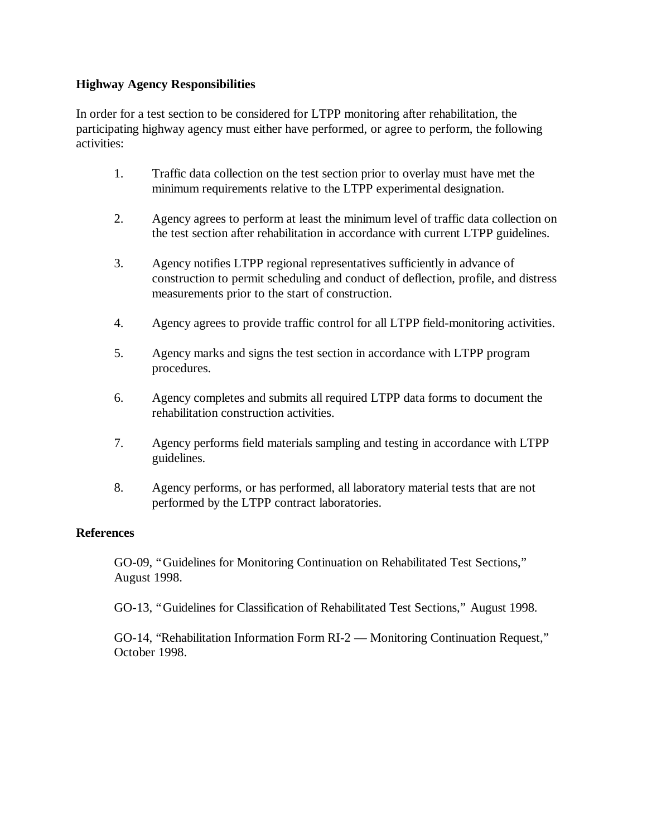## **Highway Agency Responsibilities**

In order for a test section to be considered for LTPP monitoring after rehabilitation, the participating highway agency must either have performed, or agree to perform, the following activities:

- 1. Traffic data collection on the test section prior to overlay must have met the minimum requirements relative to the LTPP experimental designation.
- 2. Agency agrees to perform at least the minimum level of traffic data collection on the test section after rehabilitation in accordance with current LTPP guidelines.
- 3. Agency notifies LTPP regional representatives sufficiently in advance of construction to permit scheduling and conduct of deflection, profile, and distress measurements prior to the start of construction.
- 4. Agency agrees to provide traffic control for all LTPP field-monitoring activities.
- 5. Agency marks and signs the test section in accordance with LTPP program procedures.
- 6. Agency completes and submits all required LTPP data forms to document the rehabilitation construction activities.
- 7. Agency performs field materials sampling and testing in accordance with LTPP guidelines.
- 8. Agency performs, or has performed, all laboratory material tests that are not performed by the LTPP contract laboratories.

# **References**

GO-09, "Guidelines for Monitoring Continuation on Rehabilitated Test Sections," August 1998.

GO-13, "Guidelines for Classification of Rehabilitated Test Sections," August 1998.

GO-14, "Rehabilitation Information Form RI-2 — Monitoring Continuation Request," October 1998.